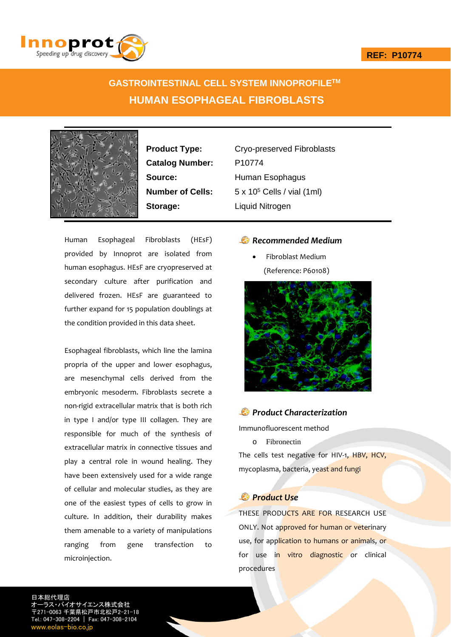## **REF: P10774**



## **GASTROINTESTINAL CELL SYSTEM INNOPROFILETM HUMAN ESOPHAGEAL FIBROBLASTS**



Catalog Number: P10774 **Storage:** Liquid Nitrogen

**Product Type:** Cryo-preserved Fibroblasts **Source:** Human Esophagus **Number of Cells:** 5 x 10<sup>5</sup> Cells / vial (1ml)

Human Esophageal Fibroblasts (HEsF) provided by Innoprot are isolated from human esophagus. HEsF are cryopreserved at secondary culture after purification and delivered frozen. HEsF are guaranteed to further expand for 15 population doublings at the condition provided in this data sheet.

Esophageal fibroblasts, which line the lamina propria of the upper and lower esophagus, are mesenchymal cells derived from the embryonic mesoderm. Fibroblasts secrete a non‐rigid extracellular matrix that is both rich in type I and/or type III collagen. They are responsible for much of the synthesis of extracellular matrix in connective tissues and play a central role in wound healing. They have been extensively used for a wide range of cellular and molecular studies, as they are one of the easiest types of cells to grow in culture. In addition, their durability makes them amenable to a variety of manipulations ranging from gene transfection to microinjection.

## *Recommended Medium*

 Fibroblast Medium (Reference: P60108)



## *Product Characterization*

Immunofluorescent method

o Fibronectin

The cells test negative for HIV-1, HBV, HCV, mycoplasma, bacteria, yeast and fungi

## *Product Use*

THESE PRODUCTS ARE FOR RESEARCH USE ONLY. Not approved for human or veterinary use, for application to humans or animals, or for use in vitro diagnostic or clinical procedures

日本総代理店 イエンス株式会 〒271-0063 千葉県松戸市北松戸2-21-18 Tel.: 047-308-2204 | Fax: 047-308-2104 w.eolas-bio.co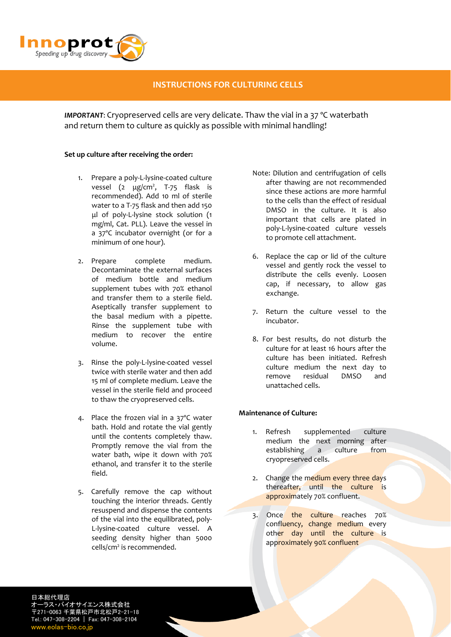

## **INSTRUCTIONS FOR CULTURING CELLS**

*IMPORTANT*: Cryopreserved cells are very delicate. Thaw the vial in a 37 ºC waterbath and return them to culture as quickly as possible with minimal handling!

## **Set up culture after receiving the order:**

- 1. Prepare a poly-L-lysine-coated culture vessel (2 μg/cm<sup>2</sup>, T-75 flask is recommended). Add 10 ml of sterile water to a T‐75 flask and then add 150 μl of poly‐L‐lysine stock solution (1 mg/ml, Cat. PLL). Leave the vessel in a 37ºC incubator overnight (or for a minimum of one hour).
- 2. Prepare complete medium. Decontaminate the external surfaces of medium bottle and medium supplement tubes with 70% ethanol and transfer them to a sterile field. Aseptically transfer supplement to the basal medium with a pipette. Rinse the supplement tube with medium to recover the entire volume.
- 3. Rinse the poly‐L‐lysine‐coated vessel twice with sterile water and then add 15 ml of complete medium. Leave the vessel in the sterile field and proceed to thaw the cryopreserved cells.
- 4. Place the frozen vial in a 37ºC water bath. Hold and rotate the vial gently until the contents completely thaw. Promptly remove the vial from the water bath, wipe it down with 70% ethanol, and transfer it to the sterile field.
- 5. Carefully remove the cap without touching the interior threads. Gently resuspend and dispense the contents of the vial into the equilibrated, poly‐ L‐lysine‐coated culture vessel. A seeding density higher than 5000 cells/cm<sup>2</sup> is recommended.
- Note: Dilution and centrifugation of cells after thawing are not recommended since these actions are more harmful to the cells than the effect of residual DMSO in the culture. It is also important that cells are plated in poly‐L‐lysine‐coated culture vessels to promote cell attachment.
- 6. Replace the cap or lid of the culture vessel and gently rock the vessel to distribute the cells evenly. Loosen cap, if necessary, to allow gas exchange.
- 7. Return the culture vessel to the incubator.
- 8. For best results, do not disturb the culture for at least 16 hours after the culture has been initiated. Refresh culture medium the next day to remove residual DMSO and unattached cells.

## **Maintenance of Culture:**

- 1. Refresh supplemented culture medium the next morning after establishing a culture from cryopreserved cells.
- 2. Change the medium every three days thereafter, until the culture is approximately 70% confluent.
- 3. Once the culture reaches 70% confluency, change medium every other day until the culture is approximately 90% confluent

日本総代理店 オーラス・バイオサイエンス株式会社 〒271-0063 千葉県松戸市北松戸2-21-18 Tel.: 047-308-2204 | Fax: 047-308-2104 www.eolas-bio.co.